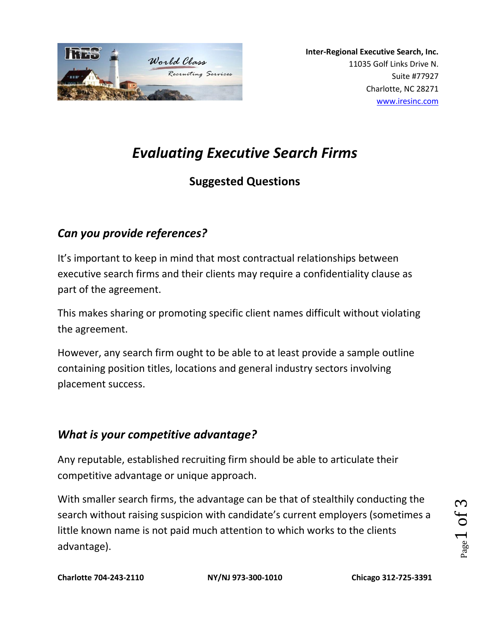

# *Evaluating Executive Search Firms*

## **Suggested Questions**

## *Can you provide references?*

It's important to keep in mind that most contractual relationships between executive search firms and their clients may require a confidentiality clause as part of the agreement.

This makes sharing or promoting specific client names difficult without violating the agreement.

However, any search firm ought to be able to at least provide a sample outline containing position titles, locations and general industry sectors involving placement success.

#### *What is your competitive advantage?*

Any reputable, established recruiting firm should be able to articulate their competitive advantage or unique approach.

With smaller search firms, the advantage can be that of stealthily conducting the search without raising suspicion with candidate's current employers (sometimes a little known name is not paid much attention to which works to the clients advantage).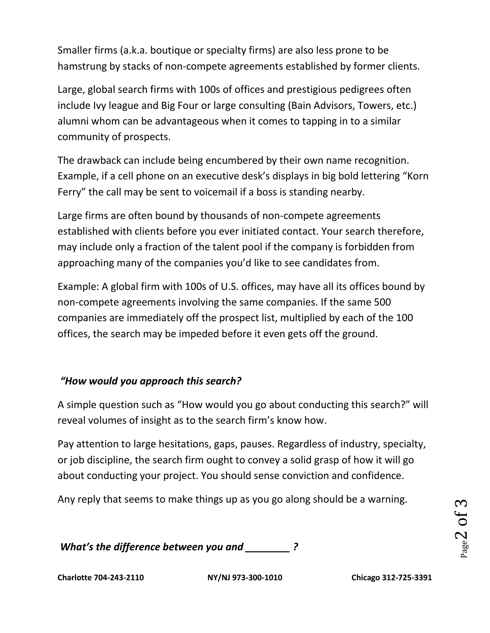Smaller firms (a.k.a. boutique or specialty firms) are also less prone to be hamstrung by stacks of non-compete agreements established by former clients.

Large, global search firms with 100s of offices and prestigious pedigrees often include Ivy league and Big Four or large consulting (Bain Advisors, Towers, etc.) alumni whom can be advantageous when it comes to tapping in to a similar community of prospects.

The drawback can include being encumbered by their own name recognition. Example, if a cell phone on an executive desk's displays in big bold lettering "Korn Ferry" the call may be sent to voicemail if a boss is standing nearby.

Large firms are often bound by thousands of non-compete agreements established with clients before you ever initiated contact. Your search therefore, may include only a fraction of the talent pool if the company is forbidden from approaching many of the companies you'd like to see candidates from.

Example: A global firm with 100s of U.S. offices, may have all its offices bound by non-compete agreements involving the same companies. If the same 500 companies are immediately off the prospect list, multiplied by each of the 100 offices, the search may be impeded before it even gets off the ground.

#### *"How would you approach this search?*

A simple question such as "How would you go about conducting this search?" will reveal volumes of insight as to the search firm's know how.

Pay attention to large hesitations, gaps, pauses. Regardless of industry, specialty, or job discipline, the search firm ought to convey a solid grasp of how it will go about conducting your project. You should sense conviction and confidence.

Any reply that seems to make things up as you go along should be a warning.

*What's the difference between you and \_\_\_\_\_\_\_\_ ?*

**Charlotte 704-243-2110 NY/NJ 973-300-1010 Chicago 312-725-3391**